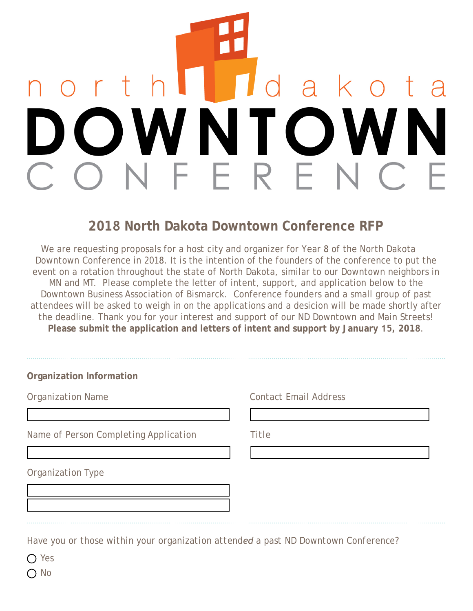# $\Delta$  $\bigcap$

# **2018 North Dakota Downtown Conference RFP**

We are requesting proposals for a host city and organizer for Year 8 of the North Dakota Downtown Conference in 2018. It is the intention of the founders of the conference to put the event on a rotation throughout the state of North Dakota, similar to our Downtown neighbors in MN and MT. Please complete the letter of intent, support, and application below to the Downtown Business Association of Bismarck. Conference founders and a small group of past attendees will be asked to weigh in on the applications and a desicion will be made shortly after the deadline. Thank you for your interest and support of our ND Downtown and Main Streets! **Please submit the application and letters of intent and support by January 15, 2018**.

| <b>Organization Name</b> |  |  |
|--------------------------|--|--|
|                          |  |  |

*Name of Person Completing Application Title*

*Organization Name Contact Email Address*

*Organization Type*

*Have you or those within your organization attended a past ND Downtown Conference?*

*Yes*

*No*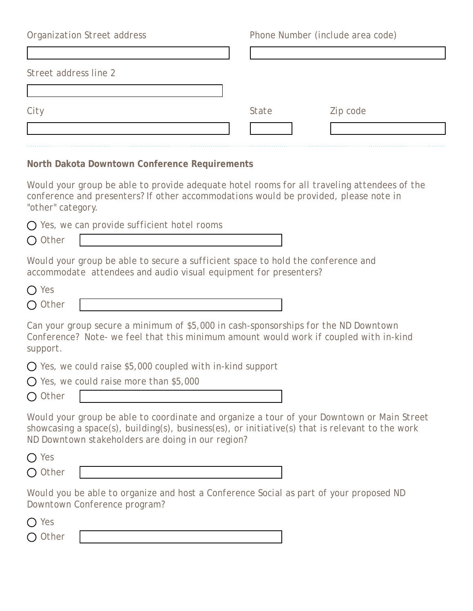*Organization Street address Phone Number (include area code) Street address line 2 City State Zip code*  $\left| \rule{0pt}{10pt} \right.$ 

**North Dakota Downtown Conference Requirements**

*Would your group be able to provide adequate hotel rooms for all traveling attendees of the conference and presenters? If other accommodations would be provided, please note in "other" category.*

|           | $\bigcirc$ Yes, we can provide sufficient hotel rooms |
|-----------|-------------------------------------------------------|
| $O$ Other |                                                       |

*Would your group be able to secure a sufficient space to hold the conference and accommodate attendees and audio visual equipment for presenters?*

| $O$ Yes   |  |
|-----------|--|
| $O$ Other |  |

*Can your group secure a minimum of \$5,000 in cash-sponsorships for the ND Downtown Conference? Note- we feel that this minimum amount would work if coupled with in-kind support.*

*Yes, we could raise \$5,000 coupled with in-kind support*

*Yes, we could raise more than \$5,000*

*Other*

*Would your group be able to coordinate and organize a tour of your Downtown or Main Street showcasing a space(s), building(s), business(es), or initiative(s) that is relevant to the work ND Downtown stakeholders are doing in our region?*

| $\bigcirc$ Yes |  |
|----------------|--|
| $O$ Other      |  |

*Would you be able to organize and host a Conference Social as part of your proposed ND Downtown Conference program?*

| $()$ Yes  |  |
|-----------|--|
| $O$ Other |  |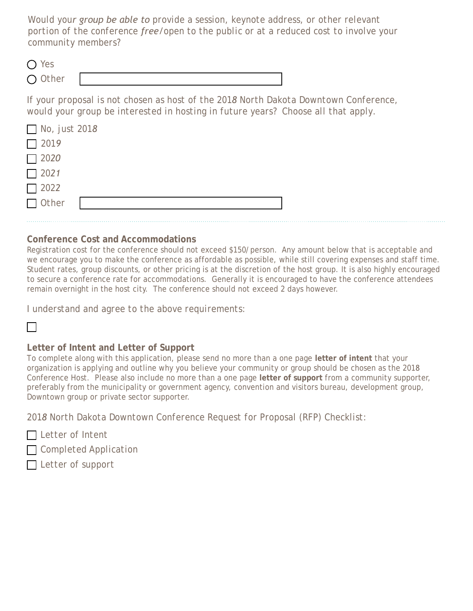*Would your group be able to provide a session, keynote address, or other relevant portion of the conference free/open to the public or at a reduced cost to involve your community members?*

| $\bigcirc$ Yes |  |
|----------------|--|
| $O$ Other      |  |

*If your proposal is not chosen as host of the 2018 North Dakota Downtown Conference, would your group be interested in hosting in future years? Choose all that apply.*

| $\Box$ No, just 2018    |  |  |
|-------------------------|--|--|
| $\boxed{\phantom{000}}$ |  |  |
|                         |  |  |
| $\boxed{\phantom{0}}$   |  |  |
|                         |  |  |
| $\Box$ Other            |  |  |
|                         |  |  |

### **Conference Cost and Accommodations**

Registration cost for the conference should not exceed \$150/person. Any amount below that is acceptable and we encourage you to make the conference as affordable as possible, while still covering expenses and staff time. Student rates, group discounts, or other pricing is at the discretion of the host group. It is also highly encouraged to secure a conference rate for accommodations. Generally it is encouraged to have the conference attendees remain overnight in the host city. The conference should not exceed 2 days however.

*I understand and agree to the above requirements:*

# $\Box$

#### **Letter of Intent and Letter of Support**

To complete along with this application, please send no more than a one page **letter of intent** that your organization is applying and outline why you believe your community or group should be chosen as the 2018 Conference Host. Please also include no more than a one page **letter of support** from a community supporter, preferably from the municipality or government agency, convention and visitors bureau, development group, Downtown group or private sector supporter.

*2018 North Dakota Downtown Conference Request for Proposal (RFP) Checklist:* 

*Letter of Intent*

*Completed Application*

*Letter of support*